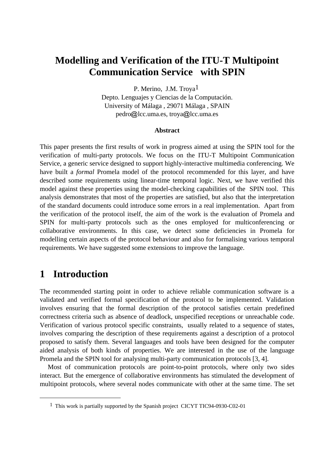# **Modelling and Verification of the ITU-T Multipoint Communication Service with SPIN**

P. Merino, J.M. Troya1 Depto. Lenguajes y Ciencias de la Computación. University of Málaga , 29071 Málaga , SPAIN pedro@lcc.uma.es, troya@lcc.uma.es

#### **Abstract**

This paper presents the first results of work in progress aimed at using the SPIN tool for the verification of multi-party protocols. We focus on the ITU-T Multipoint Communication Service, a generic service designed to support highly-interactive multimedia conferencing. We have built a *formal* Promela model of the protocol recommended for this layer, and have described some requirements using linear-time temporal logic. Next, we have verified this model against these properties using the model-checking capabilities of the SPIN tool. This analysis demonstrates that most of the properties are satisfied, but also that the interpretation of the standard documents could introduce some errors in a real implementation. Apart from the verification of the protocol itself, the aim of the work is the evaluation of Promela and SPIN for multi-party protocols such as the ones employed for multiconferencing or collaborative environments. In this case, we detect some deficiencies in Promela for modelling certain aspects of the protocol behaviour and also for formalising various temporal requirements. We have suggested some extensions to improve the language.

# **1 Introduction**

 $\overline{a}$ 

The recommended starting point in order to achieve reliable communication software is a validated and verified formal specification of the protocol to be implemented. Validation involves ensuring that the formal description of the protocol satisfies certain predefined correctness criteria such as absence of deadlock, unspecified receptions or unreachable code. Verification of various protocol specific constraints, usually related to a sequence of states, involves comparing the description of these requirements against a description of a protocol proposed to satisfy them. Several languages and tools have been designed for the computer aided analysis of both kinds of properties. We are interested in the use of the language Promela and the SPIN tool for analysing multi-party communication protocols [3, 4].

Most of communication protocols are point-to-point protocols, where only two sides interact. But the emergence of collaborative environments has stimulated the development of multipoint protocols, where several nodes communicate with other at the same time. The set

<sup>1</sup> This work is partially supported by the Spanish project CICYT TIC94-0930-C02-01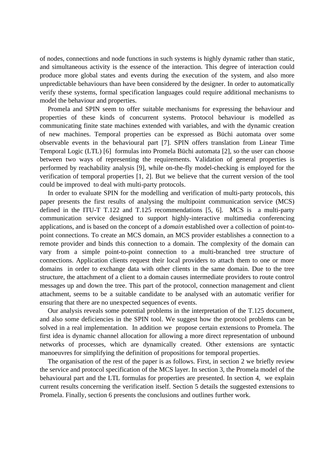of nodes, connections and node functions in such systems is highly dynamic rather than static, and simultaneous activity is the essence of the interaction. This degree of interaction could produce more global states and events during the execution of the system, and also more unpredictable behaviours than have been considered by the designer. In order to automatically verify these systems, formal specification languages could require additional mechanisms to model the behaviour and properties.

Promela and SPIN seem to offer suitable mechanisms for expressing the behaviour and properties of these kinds of concurrent systems. Protocol behaviour is modelled as communicating finite state machines extended with variables, and with the dynamic creation of new machines. Temporal properties can be expressed as Büchi automata over some observable events in the behavioural part [7]. SPIN offers translation from Linear Time Temporal Logic (LTL) [6] formulas into Promela Büchi automata [2], so the user can choose between two ways of representing the requirements. Validation of general properties is performed by reachability analysis [9], while on-the-fly model-checking is employed for the verification of temporal properties [1, 2]. But we believe that the current version of the tool could be improved to deal with multi-party protocols.

In order to evaluate SPIN for the modelling and verification of multi-party protocols, this paper presents the first results of analysing the multipoint communication service (MCS) defined in the ITU-T T.122 and T.125 recommendations [5, 6]. MCS is a multi-party communication service designed to support highly-interactive multimedia conferencing applications, and is based on the concept of a *domain* established over a collection of point-topoint connections. To create an MCS domain, an MCS provider establishes a connection to a remote provider and binds this connection to a domain. The complexity of the domain can vary from a simple point-to-point connection to a multi-branched tree structure of connections. Application clients request their local providers to attach them to one or more domains in order to exchange data with other clients in the same domain. Due to the tree structure, the attachment of a client to a domain causes intermediate providers to route control messages up and down the tree. This part of the protocol, connection management and client attachment, seems to be a suitable candidate to be analysed with an automatic verifier for ensuring that there are no unexpected sequences of events.

Our analysis reveals some potential problems in the interpretation of the T.125 document, and also some deficiencies in the SPIN tool. We suggest how the protocol problems can be solved in a real implementation. In addition we propose certain extensions to Promela. The first idea is dynamic channel allocation for allowing a more direct representation of unbound networks of processes, which are dynamically created. Other extensions are syntactic manoeuvres for simplifying the definition of propositions for temporal properties.

The organisation of the rest of the paper is as follows. First, in section 2 we briefly review the service and protocol specification of the MCS layer. In section 3, the Promela model of the behavioural part and the LTL formulas for properties are presented. In section 4, we explain current results concerning the verification itself. Section 5 details the suggested extensions to Promela. Finally, section 6 presents the conclusions and outlines further work.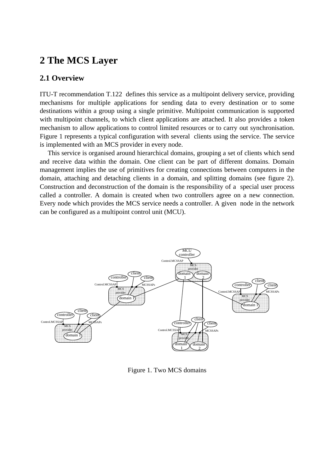# **2 The MCS Layer**

### **2.1 Overview**

ITU-T recommendation T.122 defines this service as a multipoint delivery service, providing mechanisms for multiple applications for sending data to every destination or to some destinations within a group using a single primitive. Multipoint communication is supported with multipoint channels, to which client applications are attached. It also provides a token mechanism to allow applications to control limited resources or to carry out synchronisation. Figure 1 represents a typical configuration with several clients using the service. The service is implemented with an MCS provider in every node.

This service is organised around hierarchical domains, grouping a set of clients which send and receive data within the domain. One client can be part of different domains. Domain management implies the use of primitives for creating connections between computers in the domain, attaching and detaching clients in a domain, and splitting domains (see figure 2). Construction and deconstruction of the domain is the responsibility of a special user process called a controller. A domain is created when two controllers agree on a new connection. Every node which provides the MCS service needs a controller. A given node in the network can be configured as a multipoint control unit (MCU).



Figure 1. Two MCS domains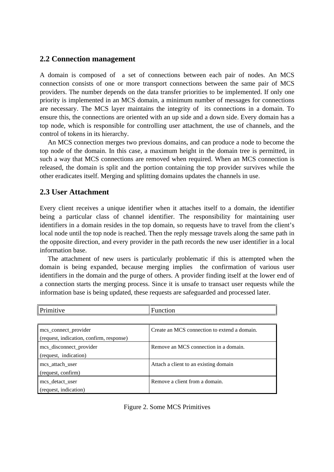### **2.2 Connection management**

A domain is composed of a set of connections between each pair of nodes. An MCS connection consists of one or more transport connections between the same pair of MCS providers. The number depends on the data transfer priorities to be implemented. If only one priority is implemented in an MCS domain, a minimum number of messages for connections are necessary. The MCS layer maintains the integrity of its connections in a domain. To ensure this, the connections are oriented with an up side and a down side. Every domain has a top node, which is responsible for controlling user attachment, the use of channels, and the control of tokens in its hierarchy.

An MCS connection merges two previous domains, and can produce a node to become the top node of the domain. In this case, a maximum height in the domain tree is permitted, in such a way that MCS connections are removed when required. When an MCS connection is released, the domain is split and the portion containing the top provider survives while the other eradicates itself. Merging and splitting domains updates the channels in use.

### **2.3 User Attachment**

Every client receives a unique identifier when it attaches itself to a domain, the identifier being a particular class of channel identifier. The responsibility for maintaining user identifiers in a domain resides in the top domain, so requests have to travel from the client's local node until the top node is reached. Then the reply message travels along the same path in the opposite direction, and every provider in the path records the new user identifier in a local information base.

The attachment of new users is particularly problematic if this is attempted when the domain is being expanded, because merging implies the confirmation of various user identifiers in the domain and the purge of others. A provider finding itself at the lower end of a connection starts the merging process. Since it is unsafe to transact user requests while the information base is being updated, these requests are safeguarded and processed later.

| Primitive                                | Function                                     |
|------------------------------------------|----------------------------------------------|
|                                          |                                              |
| mcs_connect_provider                     | Create an MCS connection to extend a domain. |
| (request, indication, confirm, response) |                                              |
| mcs_disconnect_provider                  | Remove an MCS connection in a domain.        |
| (request, indication)                    |                                              |
| mcs attach user                          | Attach a client to an existing domain        |
| (request, confirm)                       |                                              |
| mcs detact user                          | Remove a client from a domain.               |
| (request, indication)                    |                                              |

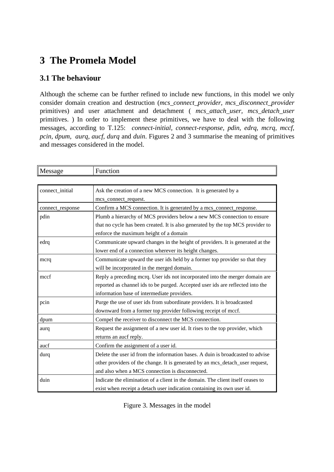# **3 The Promela Model**

### **3.1 The behaviour**

Although the scheme can be further refined to include new functions, in this model we only consider domain creation and destruction (*mcs\_connect\_provider, mcs\_disconnect\_provider* primitives) and user attachment and detachment ( *mcs\_attach\_user, mcs\_detach\_user* primitives. ) In order to implement these primitives, we have to deal with the following messages, according to T.125: *connect-initial, connect-response, pdin, edrq, mcrq, mccf, pcin, dpum, aurq, aucf, durq* and *duin*. Figures 2 and 3 summarise the meaning of primitives and messages considered in the model.

| Message          | Function                                                                        |  |
|------------------|---------------------------------------------------------------------------------|--|
|                  |                                                                                 |  |
| connect_initial  | Ask the creation of a new MCS connection. It is generated by a                  |  |
|                  | mcs_connect_request.                                                            |  |
| connect_response | Confirm a MCS connection. It is generated by a mcs_connect_response.            |  |
| pdin             | Plumb a hierarchy of MCS providers below a new MCS connection to ensure         |  |
|                  | that no cycle has been created. It is also generated by the top MCS provider to |  |
|                  | enforce the maximum height of a domain                                          |  |
| edrq             | Communicate upward changes in the height of providers. It is generated at the   |  |
|                  | lower end of a connection wherever its height changes.                          |  |
| mcrq             | Communicate upward the user ids held by a former top provider so that they      |  |
|                  | will be incorporated in the merged domain.                                      |  |
| mccf             | Reply a preceding mcrq. User ids not incorporated into the merger domain are    |  |
|                  | reported as channel ids to be purged. Accepted user ids are reflected into the  |  |
|                  | information base of intermediate providers.                                     |  |
| pcin             | Purge the use of user ids from subordinate providers. It is broadcasted         |  |
|                  | downward from a former top provider following receipt of mccf.                  |  |
| dpum             | Compel the receiver to disconnect the MCS connection.                           |  |
| aurq             | Request the assignment of a new user id. It rises to the top provider, which    |  |
|                  | returns an aucf reply.                                                          |  |
| aucf             | Confirm the assignment of a user id.                                            |  |
| durq             | Delete the user id from the information bases. A duin is broadcasted to advise  |  |
|                  | other providers of the change. It is generated by an mcs_detach_user request,   |  |
|                  | and also when a MCS connection is disconnected.                                 |  |
| duin             | Indicate the elimination of a client in the domain. The client itself ceases to |  |
|                  | exist when receipt a detach user indication containing its own user id.         |  |

Figure 3. Messages in the model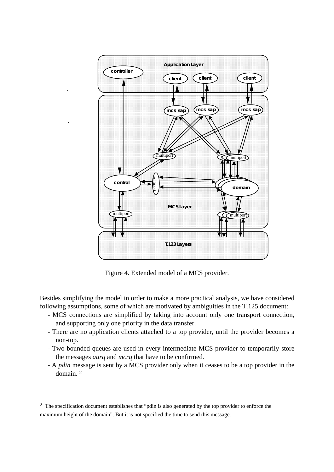

Figure 4. Extended model of a MCS provider.

Besides simplifying the model in order to make a more practical analysis, we have considered following assumptions, some of which are motivated by ambiguities in the T.125 document:

- MCS connections are simplified by taking into account only one transport connection, and supporting only one priority in the data transfer.
- There are no application clients attached to a top provider, until the provider becomes a non-top.
- Two bounded queues are used in every intermediate MCS provider to temporarily store the messages *aurq* and *mcrq* that have to be confirmed.
- A *pdin* message is sent by a MCS provider only when it ceases to be a top provider in the domain. 2

 $\overline{a}$ 

<sup>&</sup>lt;sup>2</sup> The specification document establishes that "pdin is also generated by the top provider to enforce the maximum height of the domain". But it is not specified the time to send this message.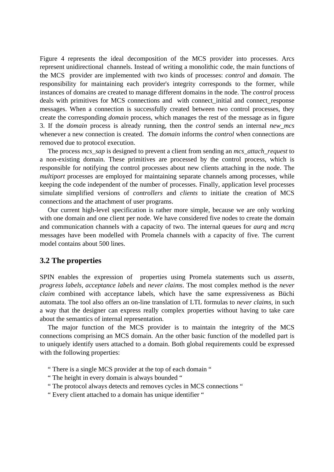Figure 4 represents the ideal decomposition of the MCS provider into processes. Arcs represent unidirectional channels. Instead of writing a monolithic code, the main functions of the MCS provider are implemented with two kinds of processes: *control* and *domain*. The responsibility for maintaining each provider's integrity corresponds to the former, while instances of domains are created to manage different domains in the node. The *control* process deals with primitives for MCS connections and with connect\_initial and connect\_response messages. When a connection is successfully created between two control processes, they create the corresponding *domain* process, which manages the rest of the message as in figure 3. If the *domain* process is already running, then the *control* sends an internal *new\_mcs* whenever a new connection is created. The *domain* informs the *control* when connections are removed due to protocol execution.

The process *mcs\_sap* is designed to prevent a client from sending an *mcs\_attach\_request* to a non-existing domain. These primitives are processed by the control process, which is responsible for notifying the control processes about new clients attaching in the node. The *multiport* processes are employed for maintaining separate channels among processes, while keeping the code independent of the number of processes. Finally, application level processes simulate simplified versions of *controllers* and *clients* to initiate the creation of MCS connections and the attachment of user programs.

Our current high-level specification is rather more simple, because we are only working with one domain and one client per node. We have considered five nodes to create the domain and communication channels with a capacity of two. The internal queues for *aurq* and *mcrq* messages have been modelled with Promela channels with a capacity of five. The current model contains about 500 lines.

### **3.2 The properties**

SPIN enables the expression of properties using Promela statements such us *asserts*, *progress labels*, *acceptance labels* and *never claims*. The most complex method is the *never claim* combined with acceptance labels, which have the same expressiveness as Büchi automata. The tool also offers an on-line translation of LTL formulas to *never claims*, in such a way that the designer can express really complex properties without having to take care about the semantics of internal representation.

The major function of the MCS provider is to maintain the integrity of the MCS connections comprising an MCS domain. An the other basic function of the modelled part is to uniquely identify users attached to a domain. Both global requirements could be expressed with the following properties:

- " There is a single MCS provider at the top of each domain "
- " The height in every domain is always bounded "
- " The protocol always detects and removes cycles in MCS connections "
- " Every client attached to a domain has unique identifier "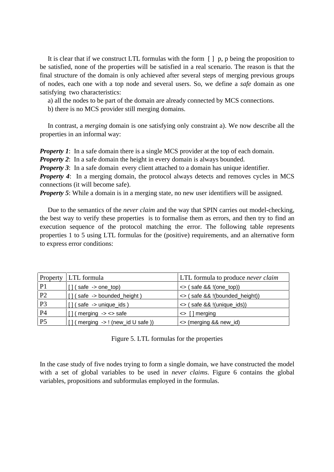It is clear that if we construct LTL formulas with the form  $\lceil \cdot \rceil$  p, p being the proposition to be satisfied, none of the properties will be satisfied in a real scenario. The reason is that the final structure of the domain is only achieved after several steps of merging previous groups of nodes, each one with a top node and several users. So, we define a *safe* domain as one satisfying two characteristics:

a) all the nodes to be part of the domain are already connected by MCS connections.

b) there is no MCS provider still merging domains.

In contrast, a *merging* domain is one satisfying only constraint a). We now describe all the properties in an informal way:

*Property 1*: In a safe domain there is a single MCS provider at the top of each domain.

*Property 2*: In a safe domain the height in every domain is always bounded.

*Property 3*: In a safe domain every client attached to a domain has unique identifier.

*Property 4*: In a merging domain, the protocol always detects and removes cycles in MCS connections (it will become safe).

*Property 5*: While a domain is in a merging state, no new user identifiers will be assigned.

Due to the semantics of the *never claim* and the way that SPIN carries out model-checking, the best way to verify these properties is to formalise them as errors, and then try to find an execution sequence of the protocol matching the error. The following table represents properties 1 to 5 using LTL formulas for the (positive) requirements, and an alternative form to express error conditions:

|                 | <b>Property</b> LTL formula                    | LTL formula to produce never claim |
|-----------------|------------------------------------------------|------------------------------------|
| P <sub>1</sub>  | $\left\{ \right.$ (safe -> one_top)            | $\le$ (safe && !(one_top))         |
| <b>P2</b>       | (safe -> bounded_height)                       | <> (safe && !(bounded_height))     |
| P3              | $($ safe $\rightarrow$ unique ids $)$          | <> (safe && !(unique_ids))         |
| <b>P4</b>       | $\frac{1}{2}$ (merging $\rightarrow$ <> safe   | $\leq$ [] merging                  |
| $\overline{P5}$ | $[]$ (merging $\rightarrow$ ! (new_id U safe)) | <> (merging && new_id)             |

Figure 5. LTL formulas for the properties

In the case study of five nodes trying to form a single domain, we have constructed the model with a set of global variables to be used in *never claims*. Figure 6 contains the global variables, propositions and subformulas employed in the formulas.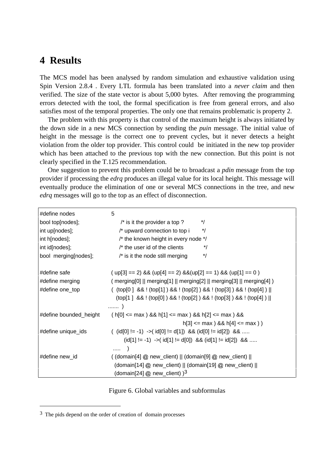## **4 Results**

The MCS model has been analysed by random simulation and exhaustive validation using Spin Version 2.8.4 . Every LTL formula has been translated into a *never claim* and then verified. The size of the state vector is about 5,000 bytes. After removing the programming errors detected with the tool, the formal specification is free from general errors, and also satisfies most of the temporal properties. The only one that remains problematic is property 2.

The problem with this property is that control of the maximum height is always initiated by the down side in a new MCS connection by sending the *puin* message. The initial value of height in the message is the correct one to prevent cycles, but it never detects a height violation from the older top provider. This control could be initiated in the new top provider which has been attached to the previous top with the new connection. But this point is not clearly specified in the T.125 recommendation.

One suggestion to prevent this problem could be to broadcast a *pdin* message from the top provider if processing the *edrq* produces an illegal value for its local height. This message will eventually produce the elimination of one or several MCS connections in the tree, and new *edrq* messages will go to the top as an effect of disconnection.

| #define nodes          | 5                                                                                                                                    |  |
|------------------------|--------------------------------------------------------------------------------------------------------------------------------------|--|
| bool top[nodes];       | */<br>$\prime^*$ is it the provider a top ?                                                                                          |  |
| int up[nodes];         | $^*/$<br>/* upward connection to top i                                                                                               |  |
| int h[nodes];          | /* the known height in every node */                                                                                                 |  |
| int id[nodes];         | $\prime^*$ the user id of the clients<br>*/                                                                                          |  |
| bool merging[nodes];   | $^*/$<br>$\prime^*$ is it the node still merging                                                                                     |  |
| #define safe           | $(p[3] == 2)$ & $(p[4] == 2)$ & $(p[2] == 1)$ & $(p[1] == 0)$                                                                        |  |
| #define merging        | $($ merging[0] $\parallel$ merging[1] $\parallel$ merging[2] $\parallel$ merging[3] $\parallel$ merging[4] $\parallel$               |  |
| #define one_top        | ( $top[0]$ && ! $top[1]$ ) && ! $top[2]$ ) && ! $top[3]$ ) && ! $top[4]$ )                                                           |  |
|                        | $top[1] 88$ ! $top[0] 88$ ! $top[2] 88$ ! $top[3] 88$ ! $top[4] 1$<br>)                                                              |  |
| #define bounded_height | ( h[0] <= max ) && h[1] <= max ) && h[2] <= max ) &&                                                                                 |  |
|                        | $h[3] \leq max$ 8& $h[4] \leq max$ )                                                                                                 |  |
| #define unique_ids     | $(id[0] != -1)$ -> $(id[0] != d[1])$ && $(id[0] != id[2])$ &&                                                                        |  |
|                        | (id[1] != -1) -> (id[1] != d[0]) && (id[1] != id[2]) &&                                                                              |  |
|                        | .                                                                                                                                    |  |
| #define new_id         | ( $\left(\frac{1}{2} \otimes \text{new\_client}\right) \parallel \left(\text{domain[9]} \otimes \text{new\_client}\right) \parallel$ |  |
|                        | $\left(\text{domain}[14] \oslash \text{new\_client}\right)    \left(\text{domain}[19] \oslash \text{new\_client}\right)   $          |  |
|                        | (domain[24] $@$ new_client) $)^3$                                                                                                    |  |

Figure 6. Global variables and subformulas

 $\overline{a}$ 

<sup>&</sup>lt;sup>3</sup> The pids depend on the order of creation of domain processes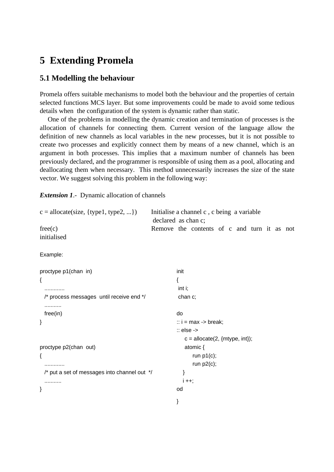# **5 Extending Promela**

### **5.1 Modelling the behaviour**

Promela offers suitable mechanisms to model both the behaviour and the properties of certain selected functions MCS layer. But some improvements could be made to avoid some tedious details when the configuration of the system is dynamic rather than static.

One of the problems in modelling the dynamic creation and termination of processes is the allocation of channels for connecting them. Current version of the language allow the definition of new channels as local variables in the new processes, but it is not possible to create two processes and explicitly connect them by means of a new channel, which is an argument in both processes. This implies that a maximum number of channels has been previously declared, and the programmer is responsible of using them as a pool, allocating and deallocating them when necessary. This method unnecessarily increases the size of the state vector. We suggest solving this problem in the following way:

*Extension 1*.- Dynamic allocation of channels

```
c = \text{alloc}(size, \{type1, type2, \ldots\}) Initialise a channel c, c being a variable
                                                declared as chan c;
free(c) Remove the contents of c and turn it as not
initialised
Example:
proctype p1(chan in)
{
   .............
   /* process messages until receive end */
   ...........
   free(in)
}
proctype p2(chan out)
{
   .............
   /* put a set of messages into channel out */
   ...........
}
                                                         init
                                                         {
                                                           int i;
                                                           chan c;
                                                         do
                                                         \therefore i = max -> break;
                                                         :: else ->
                                                            c = \text{alloc}(2, \{\text{mtype}, \text{int}\});atomic {
                                                                run p1(c);
                                                                run p2(c);
                                                             }
                                                            i + +;
                                                         od
                                                         }
```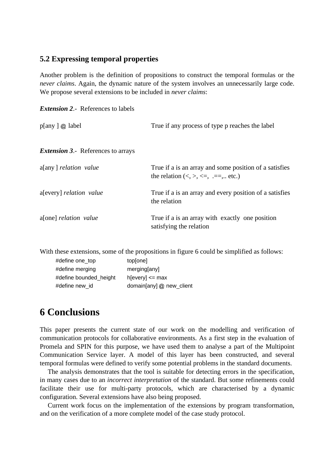### **5.2 Expressing temporal properties**

Another problem is the definition of propositions to construct the temporal formulas or the *never claims*. Again, the dynamic nature of the system involves an unnecessarily large code. We propose several extensions to be included in *never claims*:

| $p[any]$ @ label                          | True if any process of type p reaches the label                                                                                           |
|-------------------------------------------|-------------------------------------------------------------------------------------------------------------------------------------------|
| <b>Extension 3.-</b> References to arrays |                                                                                                                                           |
| a[any] <i>relation</i> value              | True if a is an array and some position of a satisfies<br>the relation $\langle \langle \rangle, \rangle, \langle =, \rangle$ . ==, etc.) |
| a[every] <i>relation value</i>            | True if a is an array and every position of a satisfies<br>the relation                                                                   |
| a[one] <i>relation</i> value              | True if a is an array with exactly one position<br>satisfying the relation                                                                |

With these extensions, some of the propositions in figure 6 could be simplified as follows:

| #define one_top        | top[one]                 |
|------------------------|--------------------------|
| #define merging        | merging[any]             |
| #define bounded_height | $h[every] \leq max$      |
| #define new id         | domain[any] @ new_client |

# **6 Conclusions**

This paper presents the current state of our work on the modelling and verification of communication protocols for collaborative environments. As a first step in the evaluation of Promela and SPIN for this purpose, we have used them to analyse a part of the Multipoint Communication Service layer. A model of this layer has been constructed, and several temporal formulas were defined to verify some potential problems in the standard documents.

The analysis demonstrates that the tool is suitable for detecting errors in the specification, in many cases due to an *incorrect interpretation* of the standard. But some refinements could facilitate their use for multi-party protocols, which are characterised by a dynamic configuration. Several extensions have also being proposed.

Current work focus on the implementation of the extensions by program transformation, and on the verification of a more complete model of the case study protocol.